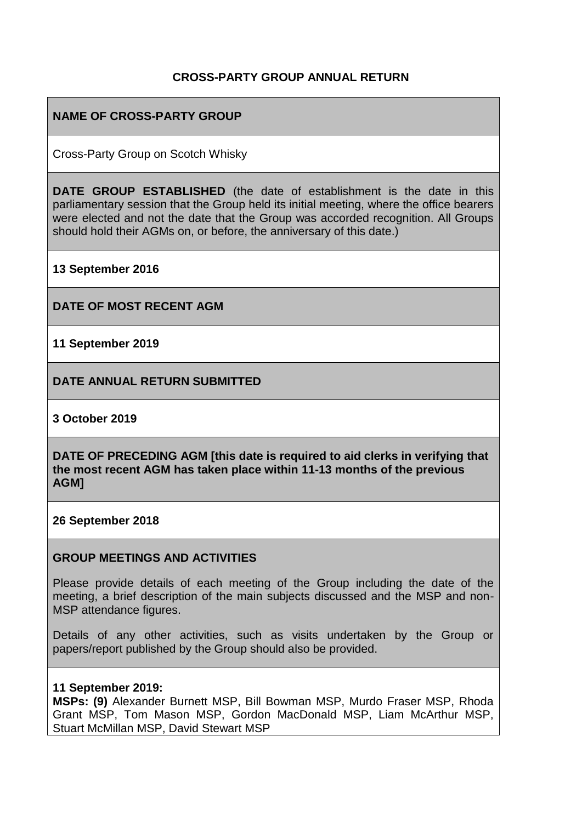## **CROSS-PARTY GROUP ANNUAL RETURN**

## **NAME OF CROSS-PARTY GROUP**

Cross-Party Group on Scotch Whisky

**DATE GROUP ESTABLISHED** (the date of establishment is the date in this parliamentary session that the Group held its initial meeting, where the office bearers were elected and not the date that the Group was accorded recognition. All Groups should hold their AGMs on, or before, the anniversary of this date.)

**13 September 2016**

**DATE OF MOST RECENT AGM**

**11 September 2019**

**DATE ANNUAL RETURN SUBMITTED**

**3 October 2019**

**DATE OF PRECEDING AGM [this date is required to aid clerks in verifying that the most recent AGM has taken place within 11-13 months of the previous AGM]**

**26 September 2018**

#### **GROUP MEETINGS AND ACTIVITIES**

Please provide details of each meeting of the Group including the date of the meeting, a brief description of the main subjects discussed and the MSP and non-MSP attendance figures.

Details of any other activities, such as visits undertaken by the Group or papers/report published by the Group should also be provided.

#### **11 September 2019:**

**MSPs: (9)** Alexander Burnett MSP, Bill Bowman MSP, Murdo Fraser MSP, Rhoda Grant MSP, Tom Mason MSP, Gordon MacDonald MSP, Liam McArthur MSP, Stuart McMillan MSP, David Stewart MSP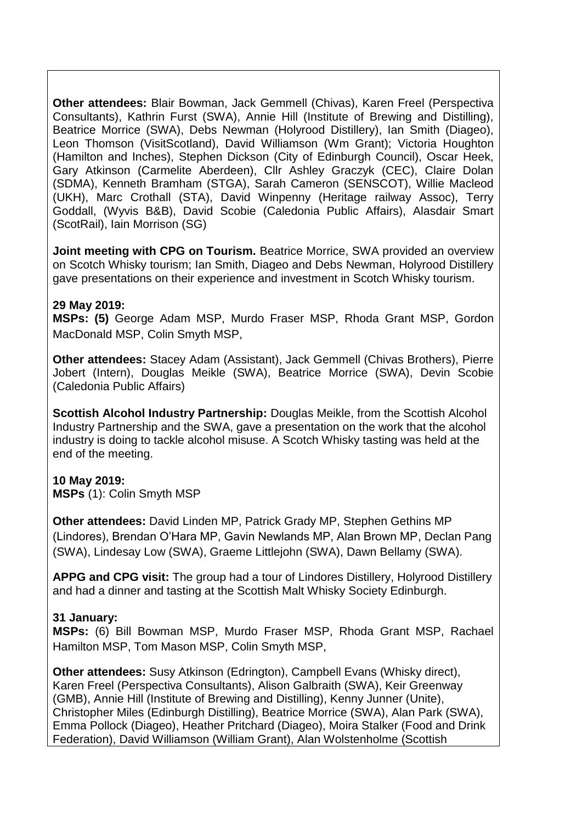**Other attendees:** Blair Bowman, Jack Gemmell (Chivas), Karen Freel (Perspectiva Consultants), Kathrin Furst (SWA), Annie Hill (Institute of Brewing and Distilling), Beatrice Morrice (SWA), Debs Newman (Holyrood Distillery), Ian Smith (Diageo), Leon Thomson (VisitScotland), David Williamson (Wm Grant); Victoria Houghton (Hamilton and Inches), Stephen Dickson (City of Edinburgh Council), Oscar Heek, Gary Atkinson (Carmelite Aberdeen), Cllr Ashley Graczyk (CEC), Claire Dolan (SDMA), Kenneth Bramham (STGA), Sarah Cameron (SENSCOT), Willie Macleod (UKH), Marc Crothall (STA), David Winpenny (Heritage railway Assoc), Terry Goddall, (Wyvis B&B), David Scobie (Caledonia Public Affairs), Alasdair Smart (ScotRail), Iain Morrison (SG)

**Joint meeting with CPG on Tourism.** Beatrice Morrice, SWA provided an overview on Scotch Whisky tourism; Ian Smith, Diageo and Debs Newman, Holyrood Distillery gave presentations on their experience and investment in Scotch Whisky tourism.

### **29 May 2019:**

**MSPs: (5)** George Adam MSP, Murdo Fraser MSP, Rhoda Grant MSP, Gordon MacDonald MSP, Colin Smyth MSP,

**Other attendees:** Stacey Adam (Assistant), Jack Gemmell (Chivas Brothers), Pierre Jobert (Intern), Douglas Meikle (SWA), Beatrice Morrice (SWA), Devin Scobie (Caledonia Public Affairs)

**Scottish Alcohol Industry Partnership:** Douglas Meikle, from the Scottish Alcohol Industry Partnership and the SWA, gave a presentation on the work that the alcohol industry is doing to tackle alcohol misuse. A Scotch Whisky tasting was held at the end of the meeting.

### **10 May 2019:**

**MSPs** (1): Colin Smyth MSP

**Other attendees:** David Linden MP, Patrick Grady MP, Stephen Gethins MP (Lindores), Brendan O'Hara MP, Gavin Newlands MP, Alan Brown MP, Declan Pang (SWA), Lindesay Low (SWA), Graeme Littlejohn (SWA), Dawn Bellamy (SWA).

**APPG and CPG visit:** The group had a tour of Lindores Distillery, Holyrood Distillery and had a dinner and tasting at the Scottish Malt Whisky Society Edinburgh.

#### **31 January:**

**MSPs:** (6) Bill Bowman MSP, Murdo Fraser MSP, Rhoda Grant MSP, Rachael Hamilton MSP, Tom Mason MSP, Colin Smyth MSP,

**Other attendees:** Susy Atkinson (Edrington), Campbell Evans (Whisky direct), Karen Freel (Perspectiva Consultants), Alison Galbraith (SWA), Keir Greenway (GMB), Annie Hill (Institute of Brewing and Distilling), Kenny Junner (Unite), Christopher Miles (Edinburgh Distilling), Beatrice Morrice (SWA), Alan Park (SWA), Emma Pollock (Diageo), Heather Pritchard (Diageo), Moira Stalker (Food and Drink Federation), David Williamson (William Grant), Alan Wolstenholme (Scottish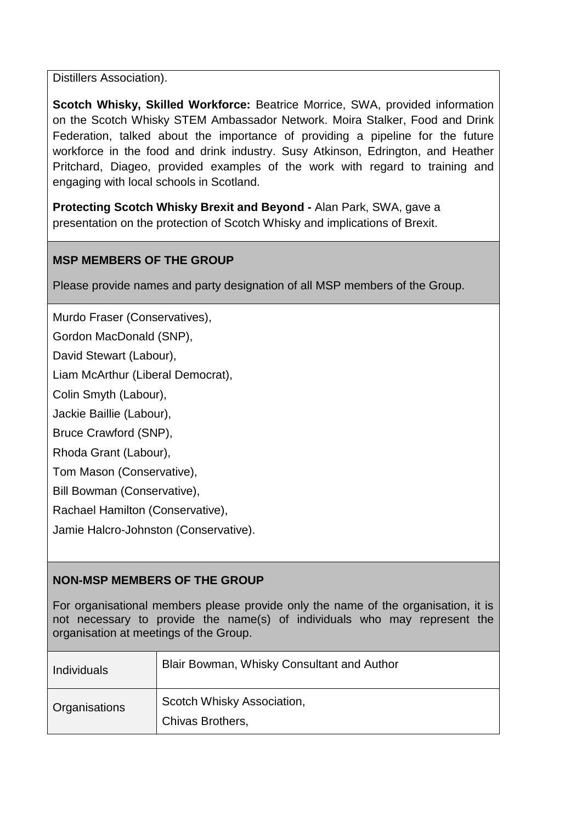Distillers Association).

**Scotch Whisky, Skilled Workforce:** Beatrice Morrice, SWA, provided information on the Scotch Whisky STEM Ambassador Network. Moira Stalker, Food and Drink Federation, talked about the importance of providing a pipeline for the future workforce in the food and drink industry. Susy Atkinson, Edrington, and Heather Pritchard, Diageo, provided examples of the work with regard to training and engaging with local schools in Scotland.

**Protecting Scotch Whisky Brexit and Beyond -** Alan Park, SWA, gave a presentation on the protection of Scotch Whisky and implications of Brexit.

# **MSP MEMBERS OF THE GROUP**

Please provide names and party designation of all MSP members of the Group.

Murdo Fraser (Conservatives),

Gordon MacDonald (SNP),

David Stewart (Labour),

Liam McArthur (Liberal Democrat),

Colin Smyth (Labour),

Jackie Baillie (Labour),

Bruce Crawford (SNP),

Rhoda Grant (Labour),

Tom Mason (Conservative),

Bill Bowman (Conservative),

Rachael Hamilton (Conservative),

Jamie Halcro-Johnston (Conservative).

# **NON-MSP MEMBERS OF THE GROUP**

For organisational members please provide only the name of the organisation, it is not necessary to provide the name(s) of individuals who may represent the organisation at meetings of the Group.

| Individuals          | Blair Bowman, Whisky Consultant and Author     |
|----------------------|------------------------------------------------|
| <b>Organisations</b> | Scotch Whisky Association,<br>Chivas Brothers, |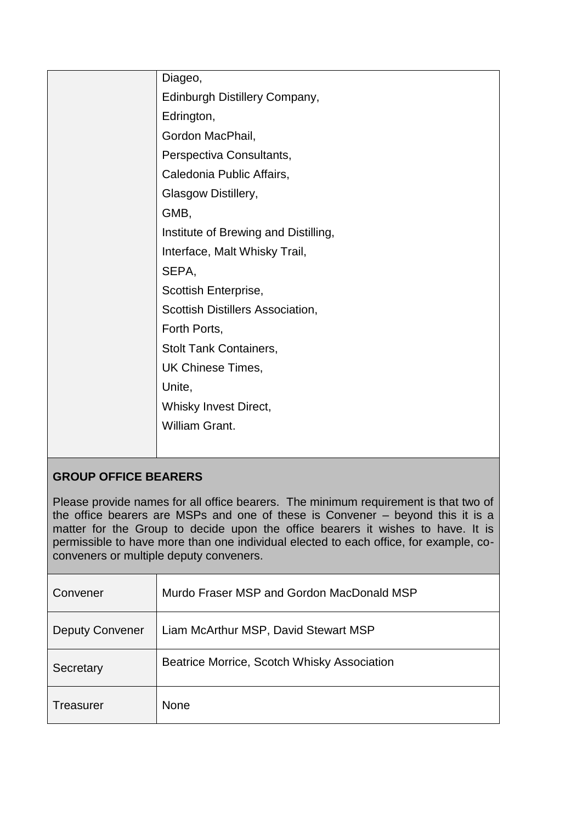| Diageo,                              |
|--------------------------------------|
| Edinburgh Distillery Company,        |
| Edrington,                           |
| Gordon MacPhail,                     |
| Perspectiva Consultants,             |
| Caledonia Public Affairs,            |
| Glasgow Distillery,                  |
| GMB,                                 |
| Institute of Brewing and Distilling, |
| Interface, Malt Whisky Trail,        |
| SEPA,                                |
| Scottish Enterprise,                 |
| Scottish Distillers Association,     |
| Forth Ports,                         |
| <b>Stolt Tank Containers,</b>        |
| UK Chinese Times,                    |
| Unite,                               |
| Whisky Invest Direct,                |
| <b>William Grant.</b>                |
|                                      |

# **GROUP OFFICE BEARERS**

Please provide names for all office bearers. The minimum requirement is that two of the office bearers are MSPs and one of these is Convener – beyond this it is a matter for the Group to decide upon the office bearers it wishes to have. It is permissible to have more than one individual elected to each office, for example, coconveners or multiple deputy conveners.

| Convener               | Murdo Fraser MSP and Gordon MacDonald MSP   |  |  |
|------------------------|---------------------------------------------|--|--|
| <b>Deputy Convener</b> | Liam McArthur MSP, David Stewart MSP        |  |  |
| Secretary              | Beatrice Morrice, Scotch Whisky Association |  |  |
| Treasurer              | <b>None</b>                                 |  |  |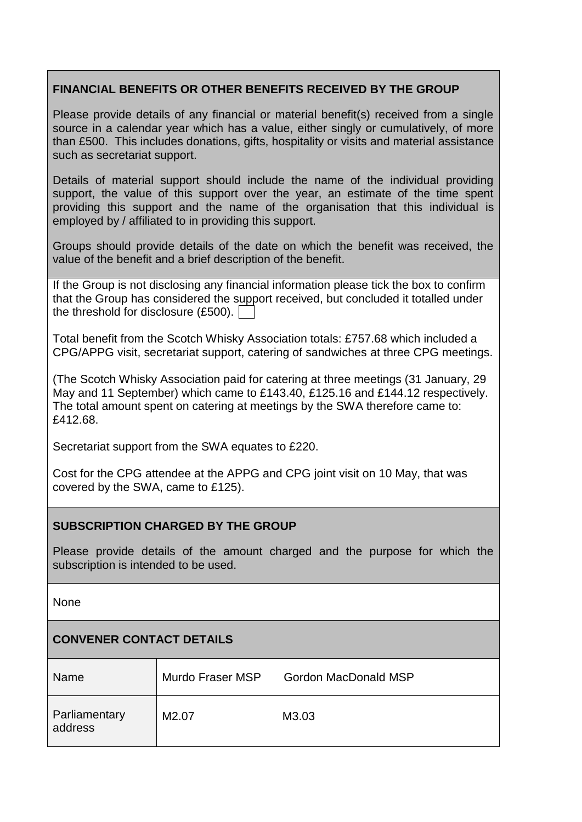# **FINANCIAL BENEFITS OR OTHER BENEFITS RECEIVED BY THE GROUP**

Please provide details of any financial or material benefit(s) received from a single source in a calendar year which has a value, either singly or cumulatively, of more than £500. This includes donations, gifts, hospitality or visits and material assistance such as secretariat support.

Details of material support should include the name of the individual providing support, the value of this support over the year, an estimate of the time spent providing this support and the name of the organisation that this individual is employed by / affiliated to in providing this support.

Groups should provide details of the date on which the benefit was received, the value of the benefit and a brief description of the benefit.

If the Group is not disclosing any financial information please tick the box to confirm that the Group has considered the support received, but concluded it totalled under the threshold for disclosure (£500).

Total benefit from the Scotch Whisky Association totals: £757.68 which included a CPG/APPG visit, secretariat support, catering of sandwiches at three CPG meetings.

(The Scotch Whisky Association paid for catering at three meetings (31 January, 29 May and 11 September) which came to £143.40, £125.16 and £144.12 respectively. The total amount spent on catering at meetings by the SWA therefore came to: £412.68.

Secretariat support from the SWA equates to £220.

Cost for the CPG attendee at the APPG and CPG joint visit on 10 May, that was covered by the SWA, came to £125).

# **SUBSCRIPTION CHARGED BY THE GROUP**

Please provide details of the amount charged and the purpose for which the subscription is intended to be used.

None

# **CONVENER CONTACT DETAILS**

| Name                     | Murdo Fraser MSP  | <b>Gordon MacDonald MSP</b> |  |
|--------------------------|-------------------|-----------------------------|--|
| Parliamentary<br>address | M <sub>2.07</sub> | M3.03                       |  |